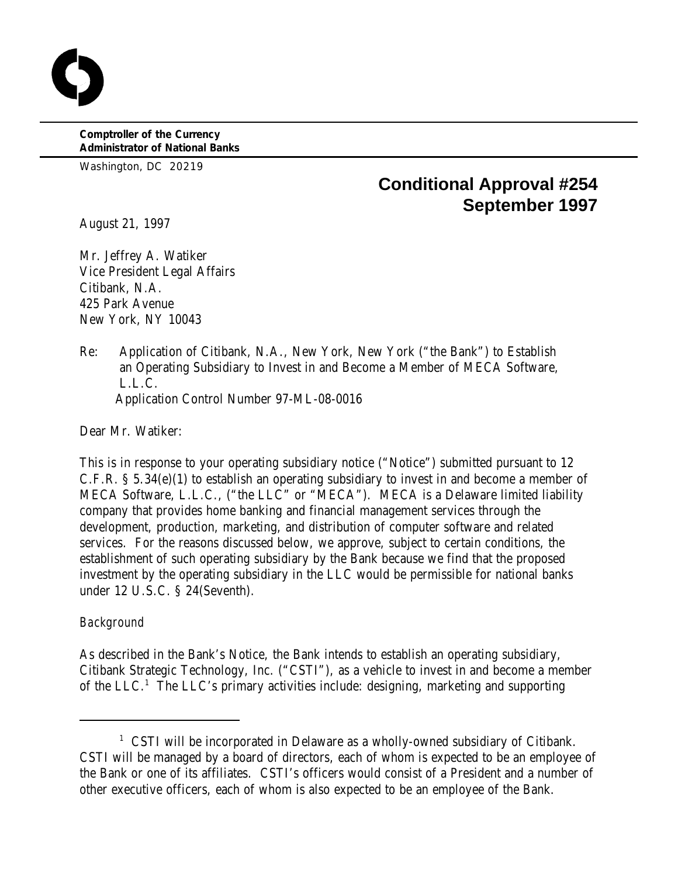**Comptroller of the Currency Administrator of National Banks**

Washington, DC 20219

# **Conditional Approval #254 September 1997**

August 21, 1997

Mr. Jeffrey A. Watiker Vice President Legal Affairs Citibank, N.A. 425 Park Avenue New York, NY 10043

Re: Application of Citibank, N.A., New York, New York ("the Bank") to Establish an Operating Subsidiary to Invest in and Become a Member of MECA Software, L.L.C. Application Control Number 97-ML-08-0016

Dear Mr. Watiker:

This is in response to your operating subsidiary notice ("Notice") submitted pursuant to 12 C.F.R. § 5.34(e)(1) to establish an operating subsidiary to invest in and become a member of MECA Software, L.L.C., ("the LLC" or "MECA"). MECA is a Delaware limited liability company that provides home banking and financial management services through the development, production, marketing, and distribution of computer software and related services. For the reasons discussed below, we approve, subject to certain conditions, the establishment of such operating subsidiary by the Bank because we find that the proposed investment by the operating subsidiary in the LLC would be permissible for national banks under 12 U.S.C. § 24(Seventh).

## *Background*

As described in the Bank's Notice, the Bank intends to establish an operating subsidiary, Citibank Strategic Technology, Inc. ("CSTI"), as a vehicle to invest in and become a member of the LLC.<sup>1</sup> The LLC's primary activities include: designing, marketing and supporting

<sup>&</sup>lt;sup>1</sup> CSTI will be incorporated in Delaware as a wholly-owned subsidiary of Citibank. CSTI will be managed by a board of directors, each of whom is expected to be an employee of the Bank or one of its affiliates. CSTI's officers would consist of a President and a number of other executive officers, each of whom is also expected to be an employee of the Bank.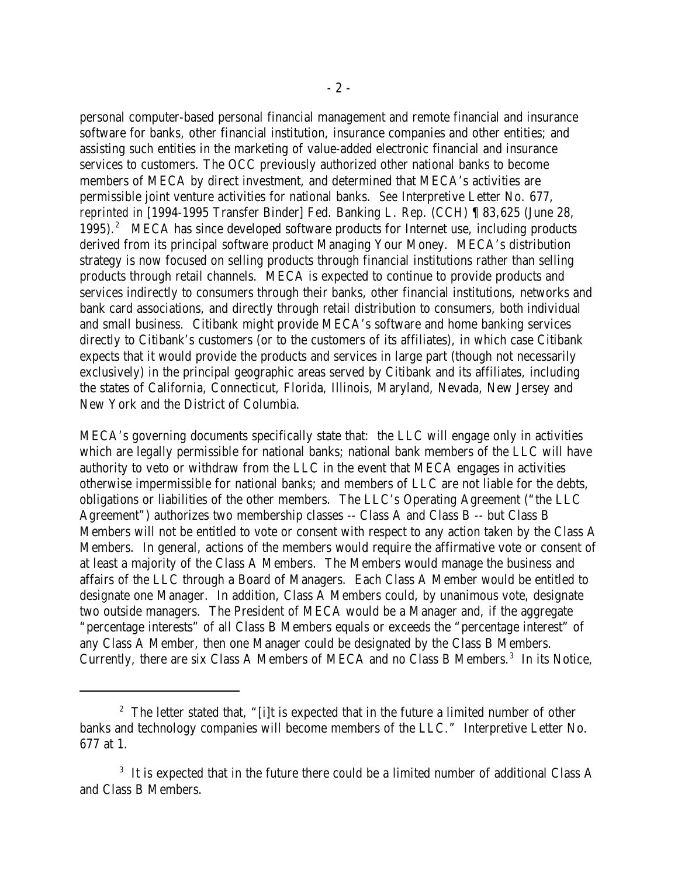personal computer-based personal financial management and remote financial and insurance software for banks, other financial institution, insurance companies and other entities; and assisting such entities in the marketing of value-added electronic financial and insurance services to customers. The OCC previously authorized other national banks to become members of MECA by direct investment, and determined that MECA's activities are permissible joint venture activities for national banks. *See* Interpretive Letter No. 677, *reprinted in* [1994-1995 Transfer Binder] Fed. Banking L. Rep. (CCH) ¶ 83,625 (June 28, 1995). MECA has since developed software products for Internet use, including products derived from its principal software product Managing Your Money. MECA's distribution strategy is now focused on selling products through financial institutions rather than selling products through retail channels. MECA is expected to continue to provide products and services indirectly to consumers through their banks, other financial institutions, networks and bank card associations, and directly through retail distribution to consumers, both individual and small business. Citibank might provide MECA's software and home banking services directly to Citibank's customers (or to the customers of its affiliates), in which case Citibank expects that it would provide the products and services in large part (though not necessarily exclusively) in the principal geographic areas served by Citibank and its affiliates, including the states of California, Connecticut, Florida, Illinois, Maryland, Nevada, New Jersey and New York and the District of Columbia.

MECA's governing documents specifically state that: the LLC will engage only in activities which are legally permissible for national banks; national bank members of the LLC will have authority to veto or withdraw from the LLC in the event that MECA engages in activities otherwise impermissible for national banks; and members of LLC are not liable for the debts, obligations or liabilities of the other members. The LLC's Operating Agreement ("the LLC Agreement") authorizes two membership classes -- Class A and Class B -- but Class B Members will not be entitled to vote or consent with respect to any action taken by the Class A Members. In general, actions of the members would require the affirmative vote or consent of at least a majority of the Class A Members. The Members would manage the business and affairs of the LLC through a Board of Managers. Each Class A Member would be entitled to designate one Manager. In addition, Class A Members could, by unanimous vote, designate two outside managers. The President of MECA would be a Manager and, if the aggregate "percentage interests" of all Class B Members equals or exceeds the "percentage interest" of any Class A Member, then one Manager could be designated by the Class B Members. Currently, there are six Class A Members of MECA and no Class B Members.<sup>3</sup> In its Notice,

<sup>&</sup>lt;sup>2</sup> The letter stated that, "[i]t is expected that in the future a limited number of other banks and technology companies will become members of the LLC." Interpretive Letter No. 677 at 1.

 $3$  It is expected that in the future there could be a limited number of additional Class A and Class B Members.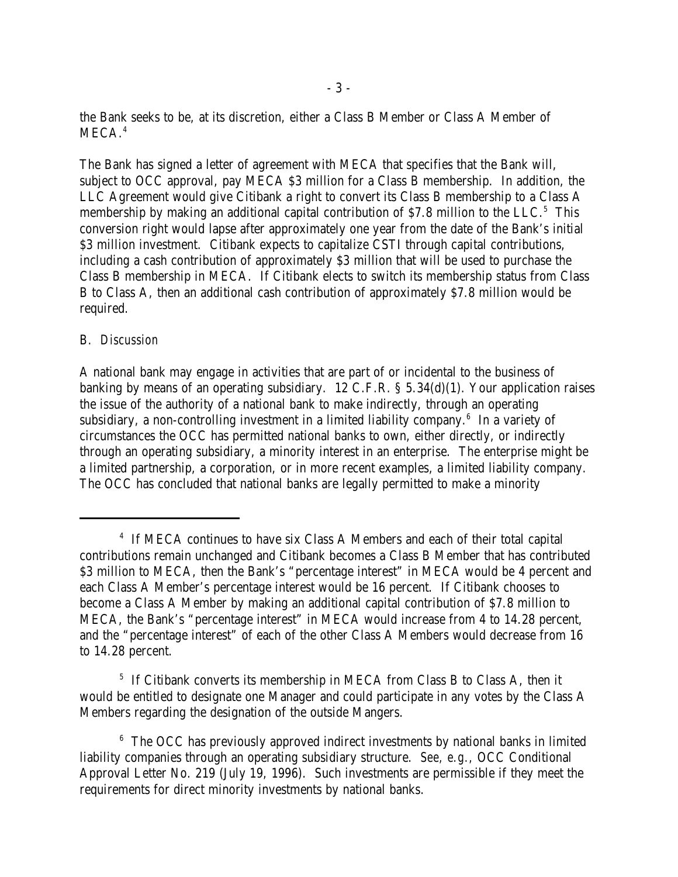the Bank seeks to be, at its discretion, either a Class B Member or Class A Member of  $MECA.<sup>4</sup>$ 

The Bank has signed a letter of agreement with MECA that specifies that the Bank will, subject to OCC approval, pay MECA \$3 million for a Class B membership. In addition, the LLC Agreement would give Citibank a right to convert its Class B membership to a Class A membership by making an additional capital contribution of  $$7.8$  million to the LLC.<sup>5</sup> This conversion right would lapse after approximately one year from the date of the Bank's initial \$3 million investment. Citibank expects to capitalize CSTI through capital contributions, including a cash contribution of approximately \$3 million that will be used to purchase the Class B membership in MECA. If Citibank elects to switch its membership status from Class B to Class A, then an additional cash contribution of approximately \$7.8 million would be required.

#### B. *Discussion*

A national bank may engage in activities that are part of or incidental to the business of banking by means of an operating subsidiary. 12 C.F.R. § 5.34(d)(1). Your application raises the issue of the authority of a national bank to make indirectly, through an operating subsidiary, a non-controlling investment in a limited liability company.<sup>6</sup> In a variety of circumstances the OCC has permitted national banks to own, either directly, or indirectly through an operating subsidiary, a minority interest in an enterprise. The enterprise might be a limited partnership, a corporation, or in more recent examples, a limited liability company. The OCC has concluded that national banks are legally permitted to make a minority

 $5$  If Citibank converts its membership in MECA from Class B to Class A, then it would be entitled to designate one Manager and could participate in any votes by the Class A Members regarding the designation of the outside Mangers.

<sup>&</sup>lt;sup>4</sup> If MECA continues to have six Class A Members and each of their total capital contributions remain unchanged and Citibank becomes a Class B Member that has contributed \$3 million to MECA, then the Bank's "percentage interest" in MECA would be 4 percent and each Class A Member's percentage interest would be 16 percent. If Citibank chooses to become a Class A Member by making an additional capital contribution of \$7.8 million to MECA, the Bank's "percentage interest" in MECA would increase from 4 to 14.28 percent, and the "percentage interest" of each of the other Class A Members would decrease from 16 to 14.28 percent.

 $6$  The OCC has previously approved indirect investments by national banks in limited liability companies through an operating subsidiary structure. *See, e.g.,* OCC Conditional Approval Letter No. 219 (July 19, 1996). Such investments are permissible if they meet the requirements for direct minority investments by national banks.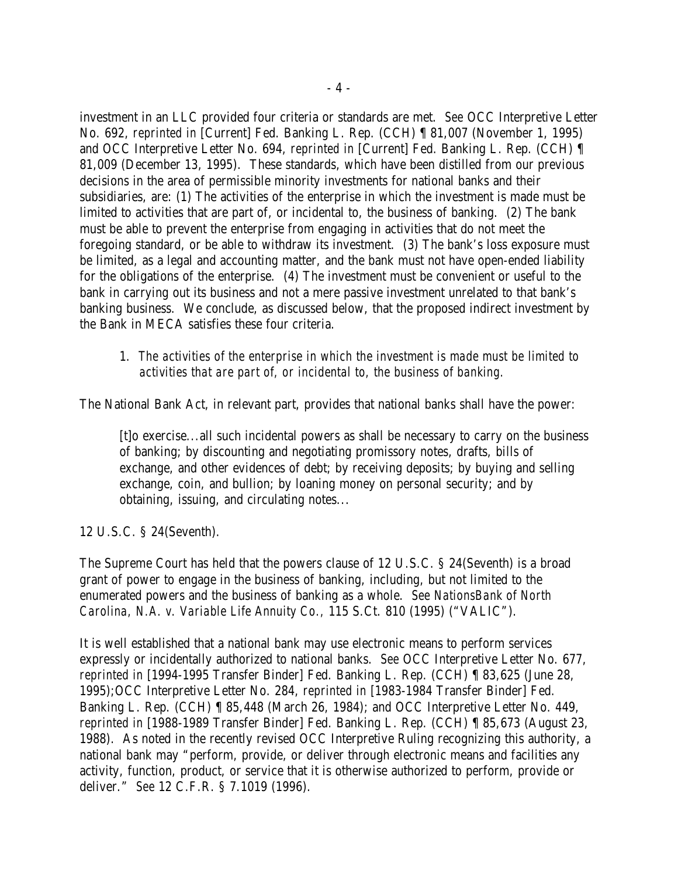investment in an LLC provided four criteria or standards are met. *See* OCC Interpretive Letter No. 692, *reprinted in* [Current] Fed. Banking L. Rep. (CCH) ¶ 81,007 (November 1, 1995) and OCC Interpretive Letter No. 694, *reprinted in* [Current] Fed. Banking L. Rep. (CCH) ¶ 81,009 (December 13, 1995). These standards, which have been distilled from our previous decisions in the area of permissible minority investments for national banks and their subsidiaries, are: (1) The activities of the enterprise in which the investment is made must be limited to activities that are part of, or incidental to, the business of banking. (2) The bank must be able to prevent the enterprise from engaging in activities that do not meet the foregoing standard, or be able to withdraw its investment. (3) The bank's loss exposure must be limited, as a legal and accounting matter, and the bank must not have open-ended liability for the obligations of the enterprise. (4) The investment must be convenient or useful to the bank in carrying out its business and not a mere passive investment unrelated to that bank's banking business. We conclude, as discussed below, that the proposed indirect investment by the Bank in MECA satisfies these four criteria.

### 1. *The activities of the enterprise in which the investment is made must be limited to activities that are part of, or incidental to, the business of banking.*

The National Bank Act, in relevant part, provides that national banks shall have the power:

[t]o exercise...all such incidental powers as shall be necessary to carry on the business of banking; by discounting and negotiating promissory notes, drafts, bills of exchange, and other evidences of debt; by receiving deposits; by buying and selling exchange, coin, and bullion; by loaning money on personal security; and by obtaining, issuing, and circulating notes...

12 U.S.C. § 24(Seventh).

The Supreme Court has held that the powers clause of 12 U.S.C. § 24(Seventh) is a broad grant of power to engage in the business of banking, including, but not limited to the enumerated powers and the business of banking as a whole. *See NationsBank of North Carolina, N.A. v. Variable Life Annuity Co.,* 115 S.Ct. 810 (1995) ("VALIC").

It is well established that a national bank may use electronic means to perform services expressly or incidentally authorized to national banks. *See* OCC Interpretive Letter No. 677, *reprinted in* [1994-1995 Transfer Binder] Fed. Banking L. Rep. (CCH) ¶ 83,625 (June 28, 1995);OCC Interpretive Letter No. 284, *reprinted in* [1983-1984 Transfer Binder] Fed. Banking L. Rep. (CCH) ¶ 85,448 (March 26, 1984); and OCC Interpretive Letter No. 449, *reprinted in* [1988-1989 Transfer Binder] Fed. Banking L. Rep. (CCH) ¶ 85,673 (August 23, 1988). As noted in the recently revised OCC Interpretive Ruling recognizing this authority, a national bank may "perform, provide, or deliver through electronic means and facilities any activity, function, product, or service that it is otherwise authorized to perform, provide or deliver." *See* 12 C.F.R. § 7.1019 (1996).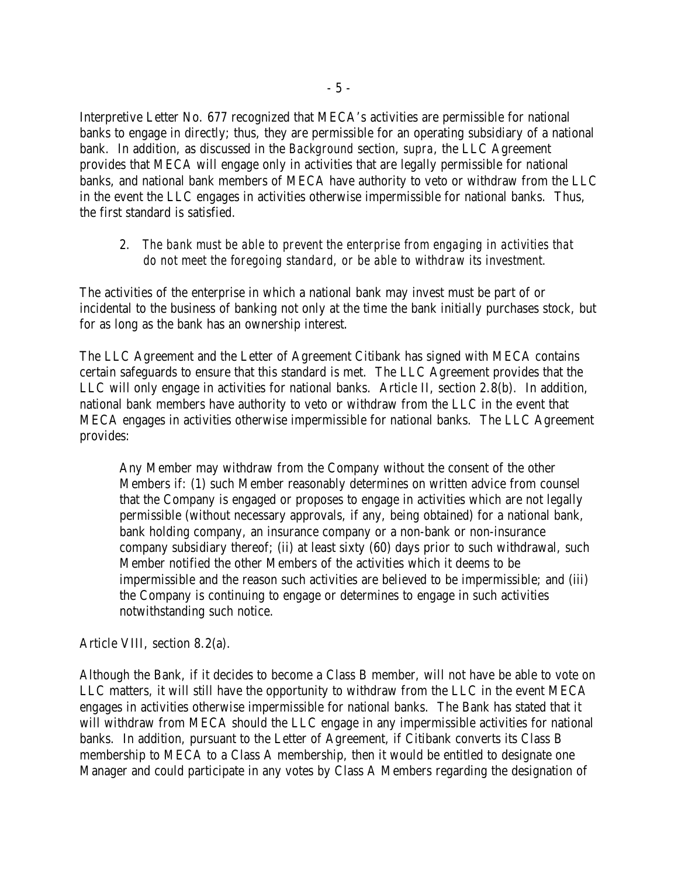Interpretive Letter No. 677 recognized that MECA's activities are permissible for national banks to engage in directly; thus, they are permissible for an operating subsidiary of a national bank. In addition, as discussed in the *Background* section, *supra*, the LLC Agreement provides that MECA will engage only in activities that are legally permissible for national banks, and national bank members of MECA have authority to veto or withdraw from the LLC in the event the LLC engages in activities otherwise impermissible for national banks. Thus, the first standard is satisfied.

### 2. *The bank must be able to prevent the enterprise from engaging in activities that do not meet the foregoing standard, or be able to withdraw its investment.*

The activities of the enterprise in which a national bank may invest must be part of or incidental to the business of banking not only at the time the bank initially purchases stock, but for as long as the bank has an ownership interest.

The LLC Agreement and the Letter of Agreement Citibank has signed with MECA contains certain safeguards to ensure that this standard is met. The LLC Agreement provides that the LLC will only engage in activities for national banks. Article II, section 2.8(b). In addition, national bank members have authority to veto or withdraw from the LLC in the event that MECA engages in activities otherwise impermissible for national banks. The LLC Agreement provides:

Any Member may withdraw from the Company without the consent of the other Members if: (1) such Member reasonably determines on written advice from counsel that the Company is engaged or proposes to engage in activities which are not legally permissible (without necessary approvals, if any, being obtained) for a national bank, bank holding company, an insurance company or a non-bank or non-insurance company subsidiary thereof; (ii) at least sixty (60) days prior to such withdrawal, such Member notified the other Members of the activities which it deems to be impermissible and the reason such activities are believed to be impermissible; and (iii) the Company is continuing to engage or determines to engage in such activities notwithstanding such notice.

Article VIII, section 8.2(a).

Although the Bank, if it decides to become a Class B member, will not have be able to vote on LLC matters, it will still have the opportunity to withdraw from the LLC in the event MECA engages in activities otherwise impermissible for national banks. The Bank has stated that it will withdraw from MECA should the LLC engage in any impermissible activities for national banks. In addition, pursuant to the Letter of Agreement, if Citibank converts its Class B membership to MECA to a Class A membership, then it would be entitled to designate one Manager and could participate in any votes by Class A Members regarding the designation of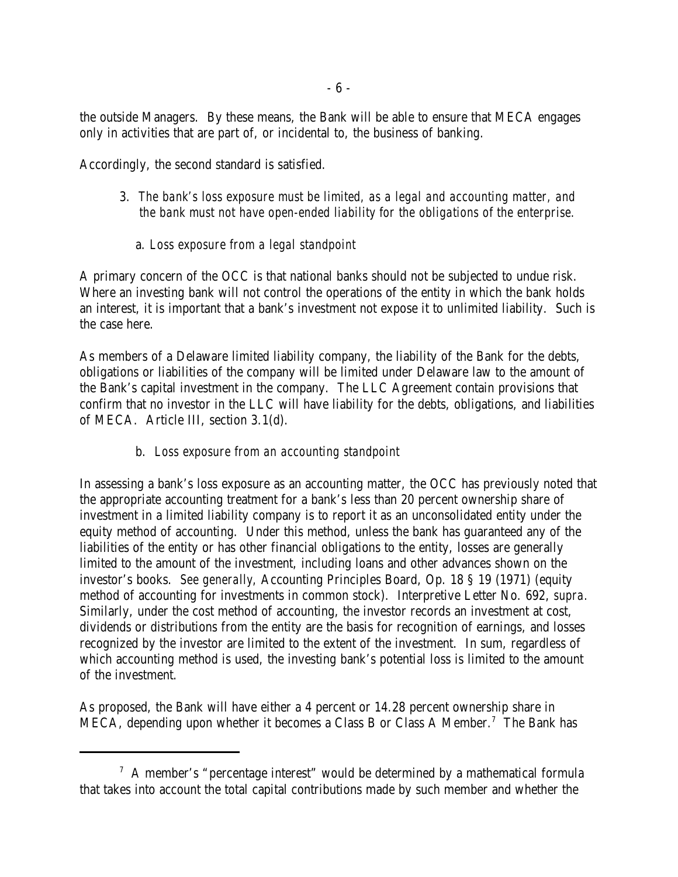the outside Managers. By these means, the Bank will be able to ensure that MECA engages only in activities that are part of, or incidental to, the business of banking.

Accordingly, the second standard is satisfied.

- 3. *The bank's loss exposure must be limited, as a legal and accounting matter, and the bank must not have open-ended liability for the obligations of the enterprise.*
	- a. *Loss exposure from a legal standpoint*

A primary concern of the OCC is that national banks should not be subjected to undue risk. Where an investing bank will not control the operations of the entity in which the bank holds an interest, it is important that a bank's investment not expose it to unlimited liability. Such is the case here.

As members of a Delaware limited liability company, the liability of the Bank for the debts, obligations or liabilities of the company will be limited under Delaware law to the amount of the Bank's capital investment in the company. The LLC Agreement contain provisions that confirm that no investor in the LLC will have liability for the debts, obligations, and liabilities of MECA. Article III, section 3.1(d).

# b. *Loss exposure from an accounting standpoint*

In assessing a bank's loss exposure as an accounting matter, the OCC has previously noted that the appropriate accounting treatment for a bank's less than 20 percent ownership share of investment in a limited liability company is to report it as an unconsolidated entity under the equity method of accounting. Under this method, unless the bank has guaranteed any of the liabilities of the entity or has other financial obligations to the entity, losses are generally limited to the amount of the investment, including loans and other advances shown on the investor's books. *See generally,* Accounting Principles Board, Op. 18 § 19 (1971) (equity method of accounting for investments in common stock). Interpretive Letter No. 692, *supra.* Similarly, under the cost method of accounting, the investor records an investment at cost, dividends or distributions from the entity are the basis for recognition of earnings, and losses recognized by the investor are limited to the extent of the investment. In sum, regardless of which accounting method is used, the investing bank's potential loss is limited to the amount of the investment.

As proposed, the Bank will have either a 4 percent or 14.28 percent ownership share in MECA, depending upon whether it becomes a Class B or Class A Member.<sup>7</sup> The Bank has

 $\alpha$ <sup>7</sup> A member's "percentage interest" would be determined by a mathematical formula that takes into account the total capital contributions made by such member and whether the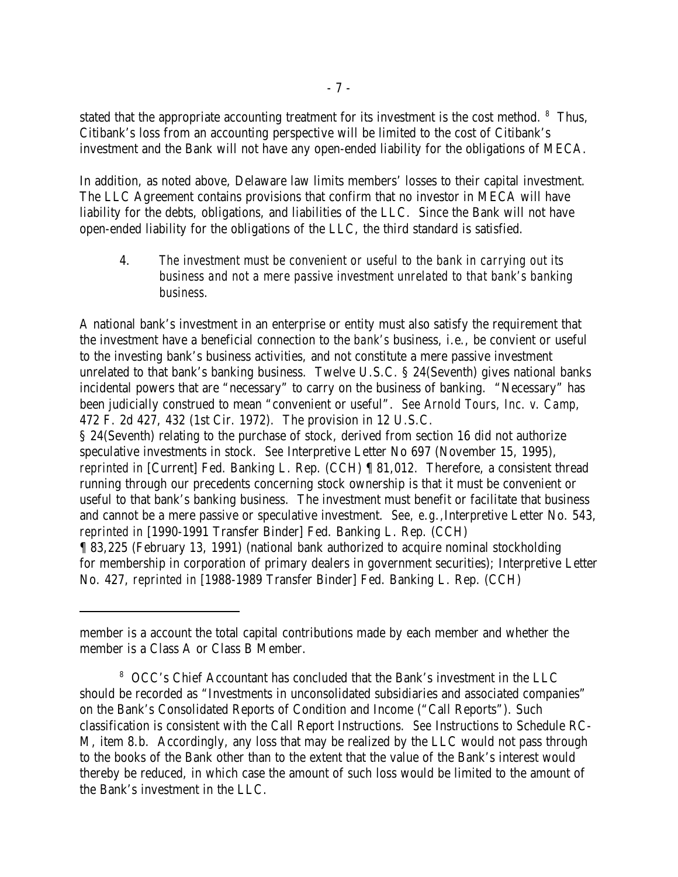stated that the appropriate accounting treatment for its investment is the cost method.  $8$  Thus, Citibank's loss from an accounting perspective will be limited to the cost of Citibank's investment and the Bank will not have any open-ended liability for the obligations of MECA.

In addition, as noted above, Delaware law limits members' losses to their capital investment. The LLC Agreement contains provisions that confirm that no investor in MECA will have liability for the debts, obligations, and liabilities of the LLC. Since the Bank will not have open-ended liability for the obligations of the LLC, the third standard is satisfied.

4. *The investment must be convenient or useful to the bank in carrying out its business and not a mere passive investment unrelated to that bank's banking business.*

A national bank's investment in an enterprise or entity must also satisfy the requirement that the investment have a beneficial connection to the *bank's* business, i.e., be convient or useful to the investing bank's business activities, and not constitute a mere passive investment unrelated to that bank's banking business. Twelve U.S.C. § 24(Seventh) gives national banks incidental powers that are "necessary" to carry on the business of banking. "Necessary" has been judicially construed to mean "convenient or useful". *See Arnold Tours, Inc. v. Camp,* 472 F. 2d 427, 432 (1st Cir. 1972). The provision in 12 U.S.C.

§ 24(Seventh) relating to the purchase of stock, derived from section 16 did not authorize speculative investments in stock. *See* Interpretive Letter No 697 (November 15, 1995), *reprinted in* [Current] Fed. Banking L. Rep. (CCH) ¶ 81,012. Therefore, a consistent thread running through our precedents concerning stock ownership is that it must be convenient or useful to that bank's banking business. The investment must benefit or facilitate that business and cannot be a mere passive or speculative investment. *See, e.g.,*Interpretive Letter No. 543, *reprinted in* [1990-1991 Transfer Binder] Fed. Banking L. Rep. (CCH) ¶ 83,225 (February 13, 1991) (national bank authorized to acquire nominal stockholding for membership in corporation of primary dealers in government securities); Interpretive Letter No. 427, *reprinted in* [1988-1989 Transfer Binder] Fed. Banking L. Rep. (CCH)

member is a account the total capital contributions made by each member and whether the member is a Class A or Class B Member.

OCC's Chief Accountant has concluded that the Bank's investment in the LLC <sup>8</sup> should be recorded as "Investments in unconsolidated subsidiaries and associated companies" on the Bank's Consolidated Reports of Condition and Income ("Call Reports"). Such classification is consistent with the Call Report Instructions. *See* Instructions to Schedule RC-M, item 8.b. Accordingly, any loss that may be realized by the LLC would not pass through to the books of the Bank other than to the extent that the value of the Bank's interest would thereby be reduced, in which case the amount of such loss would be limited to the amount of the Bank's investment in the LLC.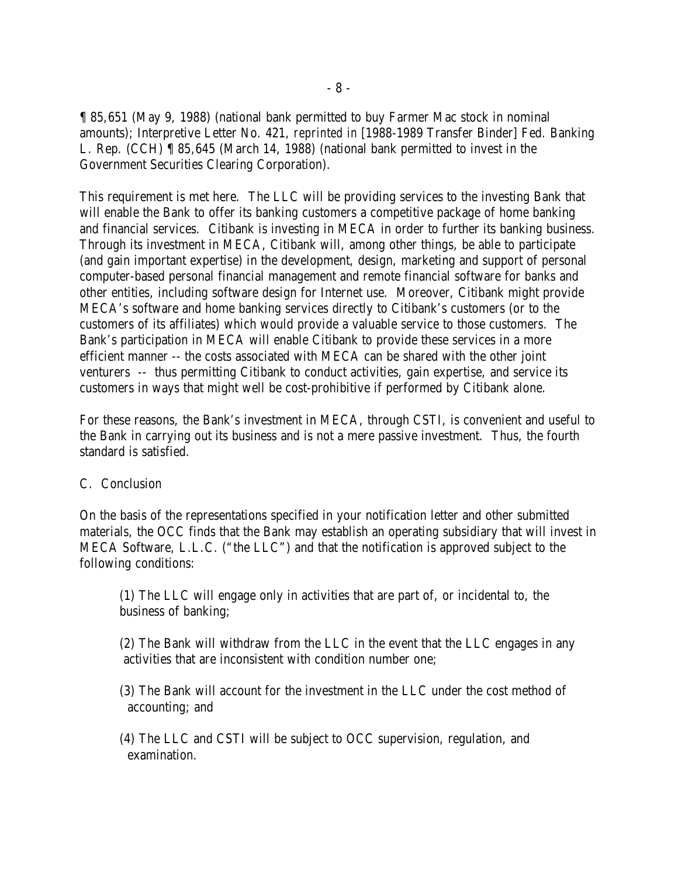¶ 85,651 (May 9, 1988) (national bank permitted to buy Farmer Mac stock in nominal amounts); Interpretive Letter No. 421, *reprinted in* [1988-1989 Transfer Binder] Fed. Banking L. Rep. (CCH) ¶ 85,645 (March 14, 1988) (national bank permitted to invest in the Government Securities Clearing Corporation).

This requirement is met here. The LLC will be providing services to the investing Bank that will enable the Bank to offer its banking customers a competitive package of home banking and financial services. Citibank is investing in MECA in order to further its banking business. Through its investment in MECA, Citibank will, among other things, be able to participate (and gain important expertise) in the development, design, marketing and support of personal computer-based personal financial management and remote financial software for banks and other entities, including software design for Internet use. Moreover, Citibank might provide MECA's software and home banking services directly to Citibank's customers (or to the customers of its affiliates) which would provide a valuable service to those customers. The Bank's participation in MECA will enable Citibank to provide these services in a more efficient manner -- the costs associated with MECA can be shared with the other joint venturers -- thus permitting Citibank to conduct activities, gain expertise, and service its customers in ways that might well be cost-prohibitive if performed by Citibank alone.

For these reasons, the Bank's investment in MECA, through CSTI, is convenient and useful to the Bank in carrying out its business and is not a mere passive investment. Thus, the fourth standard is satisfied.

#### C. Conclusion

On the basis of the representations specified in your notification letter and other submitted materials, the OCC finds that the Bank may establish an operating subsidiary that will invest in MECA Software, L.L.C. ("the LLC") and that the notification is approved subject to the following conditions:

(1) The LLC will engage only in activities that are part of, or incidental to, the business of banking;

(2) The Bank will withdraw from the LLC in the event that the LLC engages in any activities that are inconsistent with condition number one;

(3) The Bank will account for the investment in the LLC under the cost method of accounting; and

(4) The LLC and CSTI will be subject to OCC supervision, regulation, and examination.